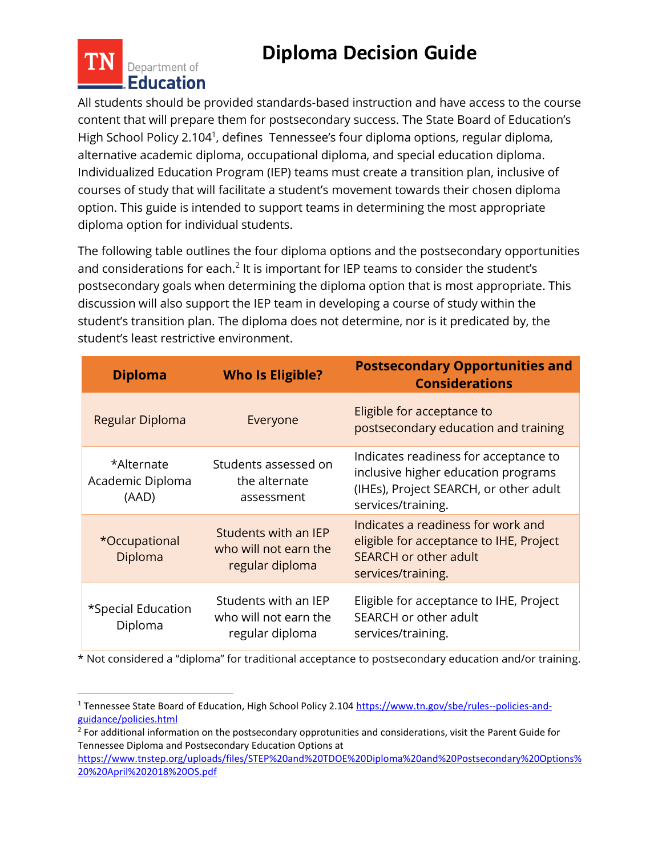## **Diploma Decision Guide**



 $\overline{a}$ 

All students should be provided standards-based instruction and have access to the course content that will prepare them for postsecondary success. The State Board of Education's High School Policy 2.104<sup>1</sup>, defines Tennessee's four diploma options, regular diploma, alternative academic diploma, occupational diploma, and special education diploma. Individualized Education Program (IEP) teams must create a transition plan, inclusive of courses of study that will facilitate a student's movement towards their chosen diploma option. This guide is intended to support teams in determining the most appropriate diploma option for individual students.

The following table outlines the four diploma options and the postsecondary opportunities and considerations for each. $2$  It is important for IEP teams to consider the student's postsecondary goals when determining the diploma option that is most appropriate. This discussion will also support the IEP team in developing a course of study within the student's transition plan. The diploma does not determine, nor is it predicated by, the student's least restrictive environment.

| <b>Diploma</b>                          | <b>Who Is Eligible?</b>                                          | <b>Postsecondary Opportunities and</b><br><b>Considerations</b>                                                                              |
|-----------------------------------------|------------------------------------------------------------------|----------------------------------------------------------------------------------------------------------------------------------------------|
| Regular Diploma                         | Everyone                                                         | Eligible for acceptance to<br>postsecondary education and training                                                                           |
| *Alternate<br>Academic Diploma<br>(AAD) | Students assessed on<br>the alternate<br>assessment              | Indicates readiness for acceptance to<br>inclusive higher education programs<br>(IHEs), Project SEARCH, or other adult<br>services/training. |
| *Occupational<br>Diploma                | Students with an IEP<br>who will not earn the<br>regular diploma | Indicates a readiness for work and<br>eligible for acceptance to IHE, Project<br><b>SEARCH or other adult</b><br>services/training.          |
| *Special Education<br>Diploma           | Students with an IEP<br>who will not earn the<br>regular diploma | Eligible for acceptance to IHE, Project<br>SEARCH or other adult<br>services/training.                                                       |

\* Not considered a "diploma" for traditional acceptance to postsecondary education and/or training.

<sup>&</sup>lt;sup>1</sup> Tennessee State Board of Education, High School Policy 2.10[4 https://www.tn.gov/sbe/rules--policies-and](https://www.tn.gov/sbe/rules--policies-and-guidance/policies.html)[guidance/policies.html](https://www.tn.gov/sbe/rules--policies-and-guidance/policies.html)

<sup>&</sup>lt;sup>2</sup> For additional information on the postsecondary opprotunities and considerations, visit the Parent Guide for Tennessee Diploma and Postsecondary Education Options at

[https://www.tnstep.org/uploads/files/STEP%20and%20TDOE%20Diploma%20and%20Postsecondary%20Options%](https://www.tnstep.org/uploads/files/STEP%20and%20TDOE%20Diploma%20and%20Postsecondary%20Options%20%20April%202018%20OS.pdf) [20%20April%202018%20OS.pdf](https://www.tnstep.org/uploads/files/STEP%20and%20TDOE%20Diploma%20and%20Postsecondary%20Options%20%20April%202018%20OS.pdf)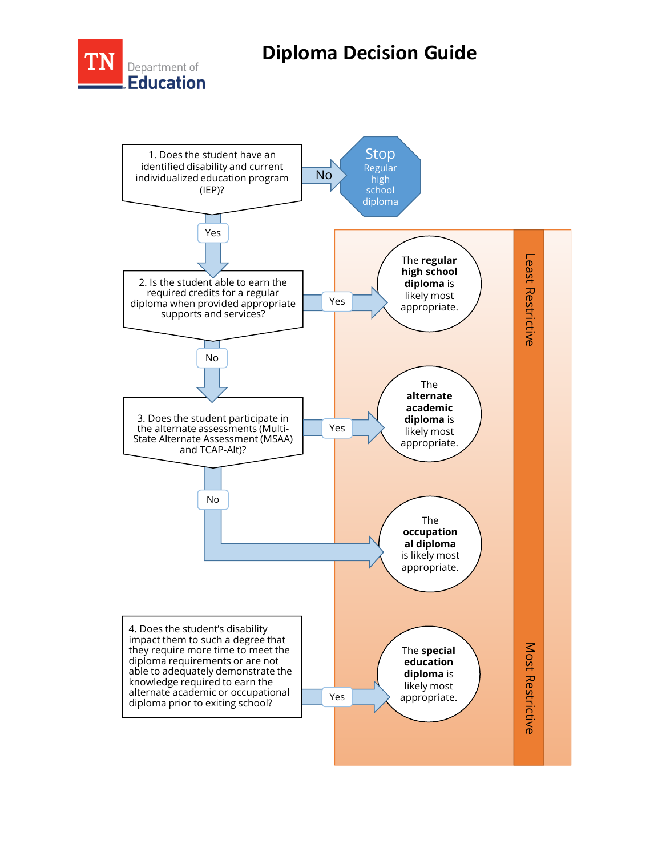